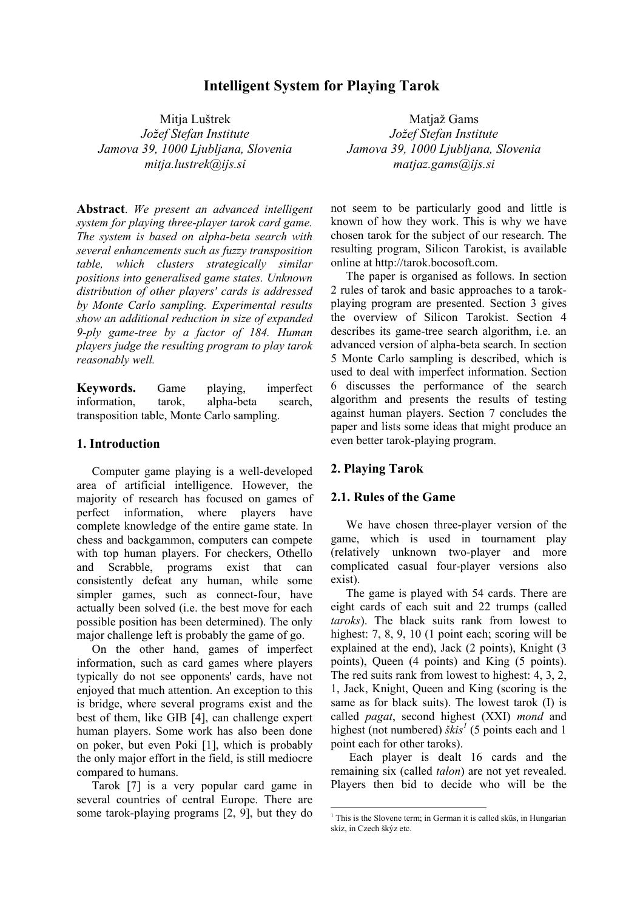# **Intelligent System for Playing Tarok**

Mitja Luštrek *Jožef Stefan Institute Jamova 39, 1000 Ljubljana, Slovenia mitja.lustrek@ijs.si*

**Abstract**. *We present an advanced intelligent system for playing three-player tarok card game. The system is based on alpha-beta search with several enhancements such as fuzzy transposition table, which clusters strategically similar positions into generalised game states. Unknown distribution of other players' cards is addressed by Monte Carlo sampling. Experimental results show an additional reduction in size of expanded 9-ply game-tree by a factor of 184. Human players judge the resulting program to play tarok reasonably well.* 

**Keywords.** Game playing, imperfect information, tarok, alpha-beta search, transposition table, Monte Carlo sampling.

### **1. Introduction**

Computer game playing is a well-developed area of artificial intelligence. However, the majority of research has focused on games of perfect information, where players have complete knowledge of the entire game state. In chess and backgammon, computers can compete with top human players. For checkers, Othello and Scrabble, programs exist that can consistently defeat any human, while some simpler games, such as connect-four, have actually been solved (i.e. the best move for each possible position has been determined). The only major challenge left is probably the game of go.

On the other hand, games of imperfect information, such as card games where players typically do not see opponents' cards, have not enjoyed that much attention. An exception to this is bridge, where several programs exist and the best of them, like GIB [4], can challenge expert human players. Some work has also been done on poker, but even Poki [1], which is probably the only major effort in the field, is still mediocre compared to humans.

Tarok [7] is a very popular card game in several countries of central Europe. There are some tarok-playing programs [2, 9], but they do

Matjaž Gams *Jožef Stefan Institute Jamova 39, 1000 Ljubljana, Slovenia matjaz.gams@ijs.si*

not seem to be particularly good and little is known of how they work. This is why we have chosen tarok for the subject of our research. The resulting program, Silicon Tarokist, is available online at http://tarok.bocosoft.com.

The paper is organised as follows. In section 2 rules of tarok and basic approaches to a tarokplaying program are presented. Section 3 gives the overview of Silicon Tarokist. Section 4 describes its game-tree search algorithm, i.e. an advanced version of alpha-beta search. In section 5 Monte Carlo sampling is described, which is used to deal with imperfect information. Section 6 discusses the performance of the search algorithm and presents the results of testing against human players. Section 7 concludes the paper and lists some ideas that might produce an even better tarok-playing program.

### **2. Playing Tarok**

 $\overline{a}$ 

### **2.1. Rules of the Game**

We have chosen three-player version of the game, which is used in tournament play (relatively unknown two-player and more complicated casual four-player versions also exist).

The game is played with 54 cards. There are eight cards of each suit and 22 trumps (called *taroks*). The black suits rank from lowest to highest: 7, 8, 9, 10 (1 point each; scoring will be explained at the end), Jack (2 points), Knight (3 points), Queen (4 points) and King (5 points). The red suits rank from lowest to highest: 4, 3, 2, 1, Jack, Knight, Queen and King (scoring is the same as for black suits). The lowest tarok (I) is called *pagat*, second highest (XXI) *mond* and highest (not numbered)  $\delta kis^1$  (5 points each and 1 point each for other taroks).

 Each player is dealt 16 cards and the remaining six (called *talon*) are not yet revealed. Players then bid to decide who will be the

<sup>&</sup>lt;sup>1</sup> This is the Slovene term; in German it is called sküs, in Hungarian skíz, in Czech škýz etc.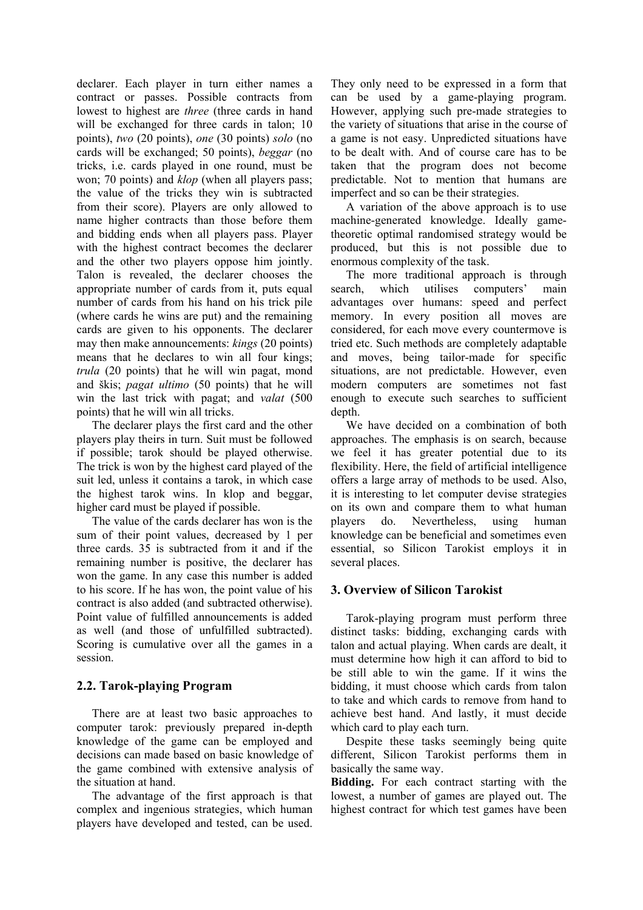declarer. Each player in turn either names a contract or passes. Possible contracts from lowest to highest are *three* (three cards in hand will be exchanged for three cards in talon; 10 points), *two* (20 points), *one* (30 points) *solo* (no cards will be exchanged; 50 points), *beggar* (no tricks, i.e. cards played in one round, must be won; 70 points) and *klop* (when all players pass; the value of the tricks they win is subtracted from their score). Players are only allowed to name higher contracts than those before them and bidding ends when all players pass. Player with the highest contract becomes the declarer and the other two players oppose him jointly. Talon is revealed, the declarer chooses the appropriate number of cards from it, puts equal number of cards from his hand on his trick pile (where cards he wins are put) and the remaining cards are given to his opponents. The declarer may then make announcements: *kings* (20 points) means that he declares to win all four kings; *trula* (20 points) that he will win pagat, mond and škis; *pagat ultimo* (50 points) that he will win the last trick with pagat; and *valat* (500 points) that he will win all tricks.

The declarer plays the first card and the other players play theirs in turn. Suit must be followed if possible; tarok should be played otherwise. The trick is won by the highest card played of the suit led, unless it contains a tarok, in which case the highest tarok wins. In klop and beggar, higher card must be played if possible.

The value of the cards declarer has won is the sum of their point values, decreased by 1 per three cards. 35 is subtracted from it and if the remaining number is positive, the declarer has won the game. In any case this number is added to his score. If he has won, the point value of his contract is also added (and subtracted otherwise). Point value of fulfilled announcements is added as well (and those of unfulfilled subtracted). Scoring is cumulative over all the games in a session.

## **2.2. Tarok-playing Program**

There are at least two basic approaches to computer tarok: previously prepared in-depth knowledge of the game can be employed and decisions can made based on basic knowledge of the game combined with extensive analysis of the situation at hand.

The advantage of the first approach is that complex and ingenious strategies, which human players have developed and tested, can be used. They only need to be expressed in a form that can be used by a game-playing program. However, applying such pre-made strategies to the variety of situations that arise in the course of a game is not easy. Unpredicted situations have to be dealt with. And of course care has to be taken that the program does not become predictable. Not to mention that humans are imperfect and so can be their strategies.

A variation of the above approach is to use machine-generated knowledge. Ideally gametheoretic optimal randomised strategy would be produced, but this is not possible due to enormous complexity of the task.

The more traditional approach is through search, which utilises computers' main advantages over humans: speed and perfect memory. In every position all moves are considered, for each move every countermove is tried etc. Such methods are completely adaptable and moves, being tailor-made for specific situations, are not predictable. However, even modern computers are sometimes not fast enough to execute such searches to sufficient depth.

We have decided on a combination of both approaches. The emphasis is on search, because we feel it has greater potential due to its flexibility. Here, the field of artificial intelligence offers a large array of methods to be used. Also, it is interesting to let computer devise strategies on its own and compare them to what human players do. Nevertheless, using human knowledge can be beneficial and sometimes even essential, so Silicon Tarokist employs it in several places.

## **3. Overview of Silicon Tarokist**

Tarok-playing program must perform three distinct tasks: bidding, exchanging cards with talon and actual playing. When cards are dealt, it must determine how high it can afford to bid to be still able to win the game. If it wins the bidding, it must choose which cards from talon to take and which cards to remove from hand to achieve best hand. And lastly, it must decide which card to play each turn.

Despite these tasks seemingly being quite different, Silicon Tarokist performs them in basically the same way.

**Bidding.** For each contract starting with the lowest, a number of games are played out. The highest contract for which test games have been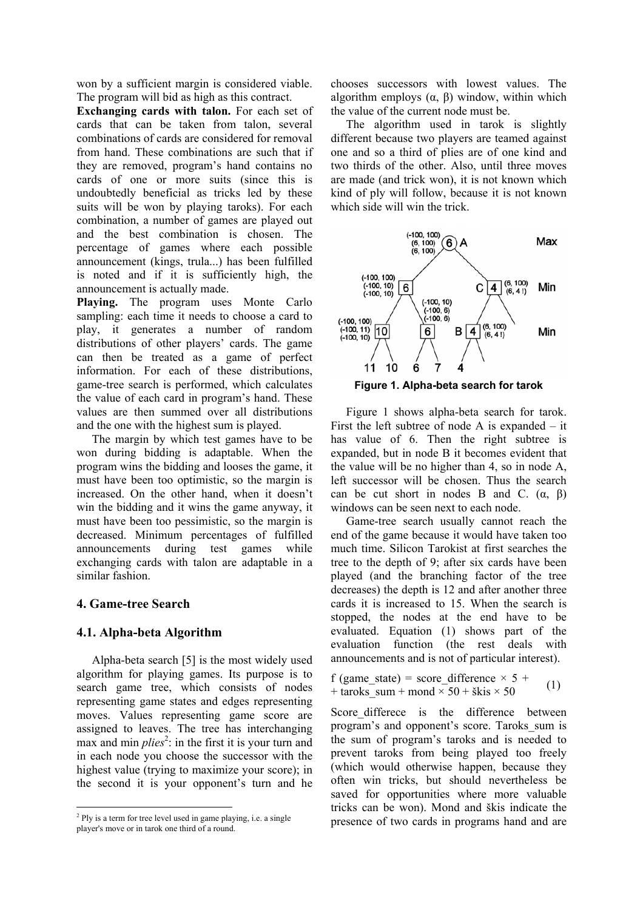won by a sufficient margin is considered viable. The program will bid as high as this contract.

**Exchanging cards with talon.** For each set of cards that can be taken from talon, several combinations of cards are considered for removal from hand. These combinations are such that if they are removed, program's hand contains no cards of one or more suits (since this is undoubtedly beneficial as tricks led by these suits will be won by playing taroks). For each combination, a number of games are played out and the best combination is chosen. The percentage of games where each possible announcement (kings, trula...) has been fulfilled is noted and if it is sufficiently high, the announcement is actually made.

**Playing.** The program uses Monte Carlo sampling: each time it needs to choose a card to play, it generates a number of random distributions of other players' cards. The game can then be treated as a game of perfect information. For each of these distributions, game-tree search is performed, which calculates the value of each card in program's hand. These values are then summed over all distributions and the one with the highest sum is played.

The margin by which test games have to be won during bidding is adaptable. When the program wins the bidding and looses the game, it must have been too optimistic, so the margin is increased. On the other hand, when it doesn't win the bidding and it wins the game anyway, it must have been too pessimistic, so the margin is decreased. Minimum percentages of fulfilled announcements during test games while exchanging cards with talon are adaptable in a similar fashion.

## **4. Game-tree Search**

 $\overline{a}$ 

## **4.1. Alpha-beta Algorithm**

Alpha-beta search [5] is the most widely used algorithm for playing games. Its purpose is to search game tree, which consists of nodes representing game states and edges representing moves. Values representing game score are assigned to leaves. The tree has interchanging max and min *plies*<sup>2</sup>: in the first it is your turn and in each node you choose the successor with the highest value (trying to maximize your score); in the second it is your opponent's turn and he

chooses successors with lowest values. The algorithm employs  $(α, β)$  window, within which the value of the current node must be.

The algorithm used in tarok is slightly different because two players are teamed against one and so a third of plies are of one kind and two thirds of the other. Also, until three moves are made (and trick won), it is not known which kind of ply will follow, because it is not known which side will win the trick.



Figure 1 shows alpha-beta search for tarok. First the left subtree of node A is expanded – it has value of 6. Then the right subtree is expanded, but in node B it becomes evident that the value will be no higher than 4, so in node A, left successor will be chosen. Thus the search can be cut short in nodes B and C.  $(\alpha, \beta)$ windows can be seen next to each node.

Game-tree search usually cannot reach the end of the game because it would have taken too much time. Silicon Tarokist at first searches the tree to the depth of 9; after six cards have been played (and the branching factor of the tree decreases) the depth is 12 and after another three cards it is increased to 15. When the search is stopped, the nodes at the end have to be evaluated. Equation (1) shows part of the evaluation function (the rest deals with announcements and is not of particular interest).

f (game state) = score difference  $\times$  5 + + taroks sum + mond  $\times$  50 + škis  $\times$  50 (1)

Score differece is the difference between program's and opponent's score. Taroks\_sum is the sum of program's taroks and is needed to prevent taroks from being played too freely (which would otherwise happen, because they often win tricks, but should nevertheless be saved for opportunities where more valuable tricks can be won). Mond and škis indicate the presence of two cards in programs hand and are

<sup>&</sup>lt;sup>2</sup> Ply is a term for tree level used in game playing, i.e. a single player's move or in tarok one third of a round.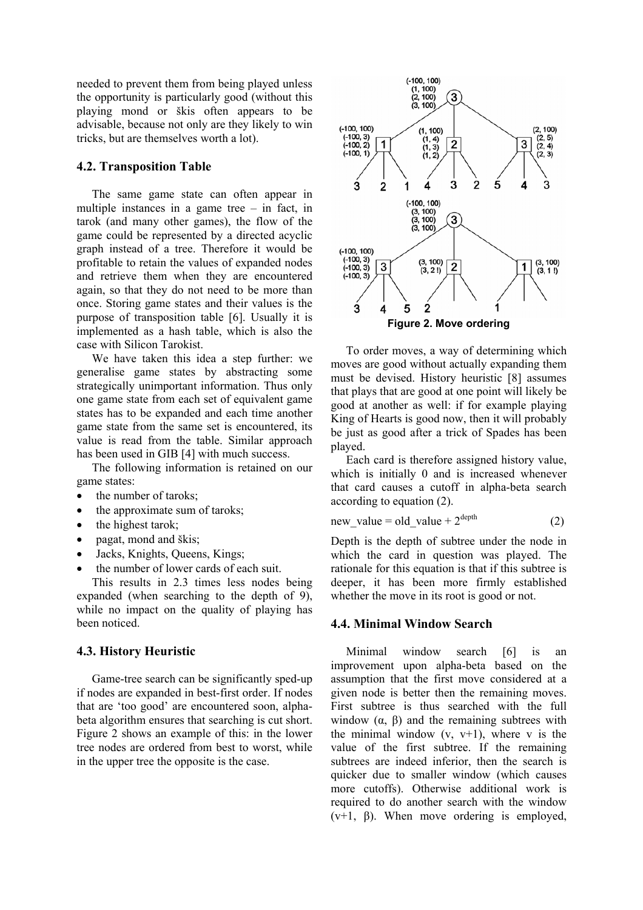needed to prevent them from being played unless the opportunity is particularly good (without this playing mond or škis often appears to be advisable, because not only are they likely to win tricks, but are themselves worth a lot).

#### **4.2. Transposition Table**

The same game state can often appear in multiple instances in a game tree – in fact, in tarok (and many other games), the flow of the game could be represented by a directed acyclic graph instead of a tree. Therefore it would be profitable to retain the values of expanded nodes and retrieve them when they are encountered again, so that they do not need to be more than once. Storing game states and their values is the purpose of transposition table [6]. Usually it is implemented as a hash table, which is also the case with Silicon Tarokist.

We have taken this idea a step further: we generalise game states by abstracting some strategically unimportant information. Thus only one game state from each set of equivalent game states has to be expanded and each time another game state from the same set is encountered, its value is read from the table. Similar approach has been used in GIB [4] with much success.

The following information is retained on our game states:

- the number of taroks;
- the approximate sum of taroks;
- the highest tarok;
- pagat, mond and škis:
- Jacks, Knights, Queens, Kings;
- the number of lower cards of each suit.

This results in 2.3 times less nodes being expanded (when searching to the depth of 9), while no impact on the quality of playing has been noticed<sup>1</sup>

#### **4.3. History Heuristic**

Game-tree search can be significantly sped-up if nodes are expanded in best-first order. If nodes that are 'too good' are encountered soon, alphabeta algorithm ensures that searching is cut short. Figure 2 shows an example of this: in the lower tree nodes are ordered from best to worst, while in the upper tree the opposite is the case.



To order moves, a way of determining which moves are good without actually expanding them must be devised. History heuristic [8] assumes that plays that are good at one point will likely be good at another as well: if for example playing King of Hearts is good now, then it will probably be just as good after a trick of Spades has been played.

Each card is therefore assigned history value, which is initially 0 and is increased whenever that card causes a cutoff in alpha-beta search according to equation (2).

$$
new value = old value + 2depth \t(2)
$$

Depth is the depth of subtree under the node in which the card in question was played. The rationale for this equation is that if this subtree is deeper, it has been more firmly established whether the move in its root is good or not.

#### **4.4. Minimal Window Search**

Minimal window search [6] is an improvement upon alpha-beta based on the assumption that the first move considered at a given node is better then the remaining moves. First subtree is thus searched with the full window  $(\alpha, \beta)$  and the remaining subtrees with the minimal window  $(v, v+1)$ , where v is the value of the first subtree. If the remaining subtrees are indeed inferior, then the search is quicker due to smaller window (which causes more cutoffs). Otherwise additional work is required to do another search with the window  $(v+1, \beta)$ . When move ordering is employed,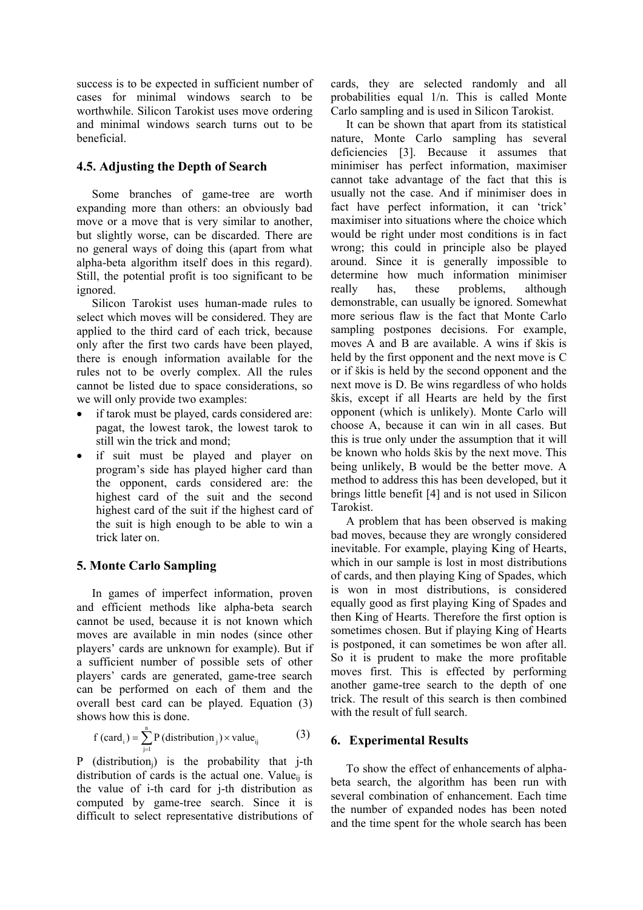success is to be expected in sufficient number of cases for minimal windows search to be worthwhile. Silicon Tarokist uses move ordering and minimal windows search turns out to be beneficial.

### **4.5. Adjusting the Depth of Search**

Some branches of game-tree are worth expanding more than others: an obviously bad move or a move that is very similar to another, but slightly worse, can be discarded. There are no general ways of doing this (apart from what alpha-beta algorithm itself does in this regard). Still, the potential profit is too significant to be ignored.

Silicon Tarokist uses human-made rules to select which moves will be considered. They are applied to the third card of each trick, because only after the first two cards have been played, there is enough information available for the rules not to be overly complex. All the rules cannot be listed due to space considerations, so we will only provide two examples:

- if tarok must be played, cards considered are: pagat, the lowest tarok, the lowest tarok to still win the trick and mond;
- if suit must be played and player on program's side has played higher card than the opponent, cards considered are: the highest card of the suit and the second highest card of the suit if the highest card of the suit is high enough to be able to win a trick later on.

## **5. Monte Carlo Sampling**

In games of imperfect information, proven and efficient methods like alpha-beta search cannot be used, because it is not known which moves are available in min nodes (since other players' cards are unknown for example). But if a sufficient number of possible sets of other players' cards are generated, game-tree search can be performed on each of them and the overall best card can be played. Equation (3) shows how this is done.

$$
f (cardi) = \sum_{j=1}^{n} P (distributionj) \times valueij
$$
 (3)

P (distributionj) is the probability that j-th distribution of cards is the actual one. Value<sub>ii</sub> is the value of i-th card for j-th distribution as computed by game-tree search. Since it is difficult to select representative distributions of cards, they are selected randomly and all probabilities equal 1/n. This is called Monte Carlo sampling and is used in Silicon Tarokist.

It can be shown that apart from its statistical nature, Monte Carlo sampling has several deficiencies [3]. Because it assumes that minimiser has perfect information, maximiser cannot take advantage of the fact that this is usually not the case. And if minimiser does in fact have perfect information, it can 'trick' maximiser into situations where the choice which would be right under most conditions is in fact wrong; this could in principle also be played around. Since it is generally impossible to determine how much information minimiser really has, these problems, although demonstrable, can usually be ignored. Somewhat more serious flaw is the fact that Monte Carlo sampling postpones decisions. For example, moves A and B are available. A wins if škis is held by the first opponent and the next move is C or if škis is held by the second opponent and the next move is D. Be wins regardless of who holds škis, except if all Hearts are held by the first opponent (which is unlikely). Monte Carlo will choose A, because it can win in all cases. But this is true only under the assumption that it will be known who holds škis by the next move. This being unlikely, B would be the better move. A method to address this has been developed, but it brings little benefit [4] and is not used in Silicon Tarokist.

A problem that has been observed is making bad moves, because they are wrongly considered inevitable. For example, playing King of Hearts, which in our sample is lost in most distributions of cards, and then playing King of Spades, which is won in most distributions, is considered equally good as first playing King of Spades and then King of Hearts. Therefore the first option is sometimes chosen. But if playing King of Hearts is postponed, it can sometimes be won after all. So it is prudent to make the more profitable moves first. This is effected by performing another game-tree search to the depth of one trick. The result of this search is then combined with the result of full search.

## **6. Experimental Results**

To show the effect of enhancements of alphabeta search, the algorithm has been run with several combination of enhancement. Each time the number of expanded nodes has been noted and the time spent for the whole search has been